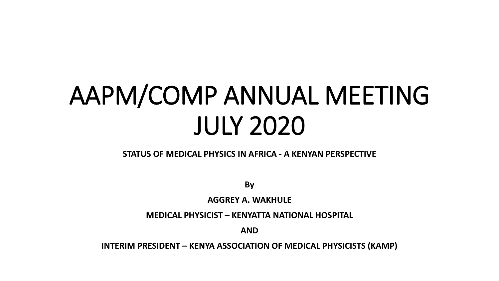# AAPM/COMP ANNUAL MEETING JULY 2020

#### **STATUS OF MEDICAL PHYSICS IN AFRICA - A KENYAN PERSPECTIVE**

**By** 

**AGGREY A. WAKHULE**

**MEDICAL PHYSICIST – KENYATTA NATIONAL HOSPITAL**

**AND**

**INTERIM PRESIDENT – KENYA ASSOCIATION OF MEDICAL PHYSICISTS (KAMP)**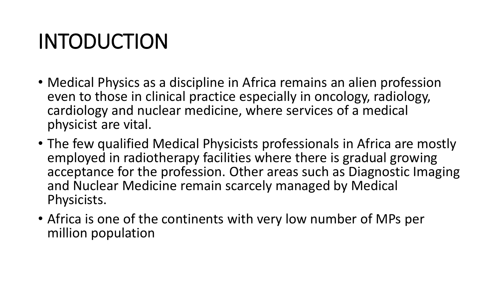## INTODUCTION

- Medical Physics as a discipline in Africa remains an alien profession even to those in clinical practice especially in oncology, radiology, cardiology and nuclear medicine, where services of a medical physicist are vital.
- The few qualified Medical Physicists professionals in Africa are mostly employed in radiotherapy facilities where there is gradual growing acceptance for the profession. Other areas such as Diagnostic Imaging and Nuclear Medicine remain scarcely managed by Medical Physicists.
- Africa is one of the continents with very low number of MPs per million population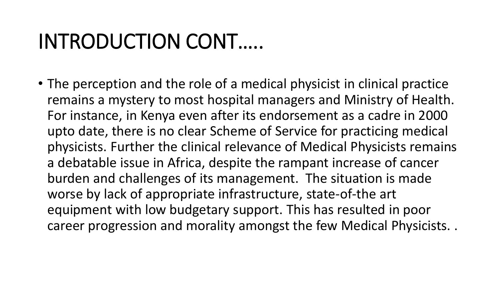## INTRODUCTION CONT…..

• The perception and the role of a medical physicist in clinical practice remains a mystery to most hospital managers and Ministry of Health. For instance, in Kenya even after its endorsement as a cadre in 2000 upto date, there is no clear Scheme of Service for practicing medical physicists. Further the clinical relevance of Medical Physicists remains a debatable issue in Africa, despite the rampant increase of cancer burden and challenges of its management. The situation is made worse by lack of appropriate infrastructure, state-of-the art equipment with low budgetary support. This has resulted in poor career progression and morality amongst the few Medical Physicists. .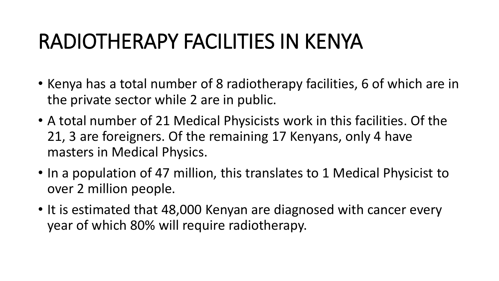## RADIOTHERAPY FACILITIES IN KENYA

- Kenya has a total number of 8 radiotherapy facilities, 6 of which are in the private sector while 2 are in public.
- A total number of 21 Medical Physicists work in this facilities. Of the 21, 3 are foreigners. Of the remaining 17 Kenyans, only 4 have masters in Medical Physics.
- In a population of 47 million, this translates to 1 Medical Physicist to over 2 million people.
- It is estimated that 48,000 Kenyan are diagnosed with cancer every year of which 80% will require radiotherapy.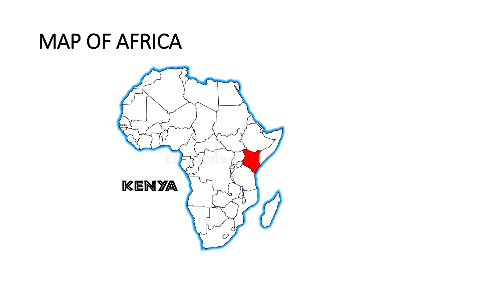#### MAP OF AFRICA

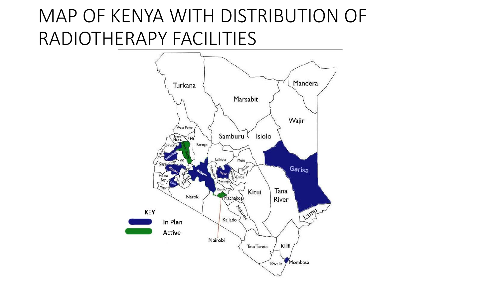#### MAP OF KENYA WITH DISTRIBUTION OF RADIOTHERAPY FACILITIES

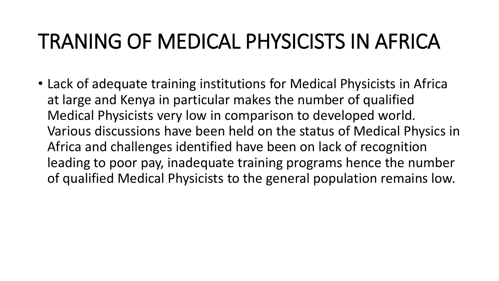## TRANING OF MEDICAL PHYSICISTS IN AFRICA

• Lack of adequate training institutions for Medical Physicists in Africa at large and Kenya in particular makes the number of qualified Medical Physicists very low in comparison to developed world. Various discussions have been held on the status of Medical Physics in Africa and challenges identified have been on lack of recognition leading to poor pay, inadequate training programs hence the number of qualified Medical Physicists to the general population remains low.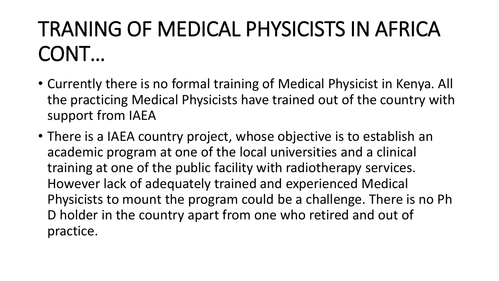## TRANING OF MEDICAL PHYSICISTS IN AFRICA CONT…

- Currently there is no formal training of Medical Physicist in Kenya. All the practicing Medical Physicists have trained out of the country with support from IAEA
- There is a IAEA country project, whose objective is to establish an academic program at one of the local universities and a clinical training at one of the public facility with radiotherapy services. However lack of adequately trained and experienced Medical Physicists to mount the program could be a challenge. There is no Ph D holder in the country apart from one who retired and out of practice.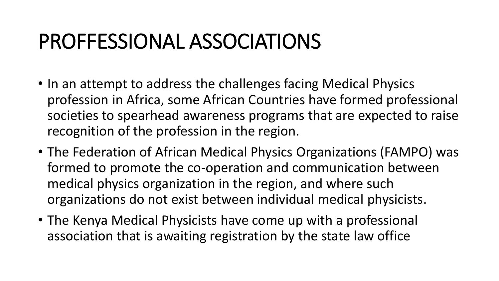### PROFFESSIONAL ASSOCIATIONS

- In an attempt to address the challenges facing Medical Physics profession in Africa, some African Countries have formed professional societies to spearhead awareness programs that are expected to raise recognition of the profession in the region.
- The Federation of African Medical Physics Organizations (FAMPO) was formed to promote the co-operation and communication between medical physics organization in the region, and where such organizations do not exist between individual medical physicists.
- The Kenya Medical Physicists have come up with a professional association that is awaiting registration by the state law office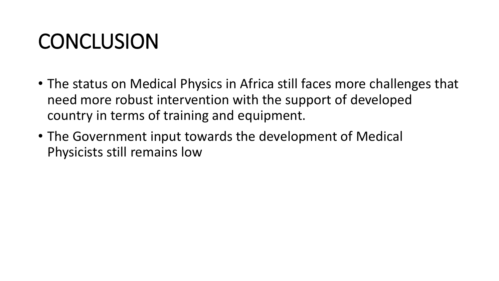## **CONCLUSION**

- The status on Medical Physics in Africa still faces more challenges that need more robust intervention with the support of developed country in terms of training and equipment.
- The Government input towards the development of Medical Physicists still remains low